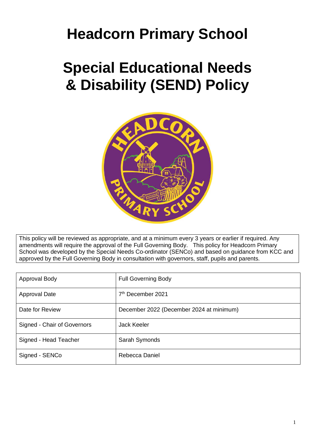# **Headcorn Primary School**

# **Special Educational Needs & Disability (SEND) Policy**



This policy will be reviewed as appropriate, and at a minimum every 3 years or earlier if required. Any amendments will require the approval of the Full Governing Body. This policy for Headcorn Primary School was developed by the Special Needs Co-ordinator (SENCo) and based on guidance from KCC and approved by the Full Governing Body in consultation with governors, staff, pupils and parents.

| Approval Body               | <b>Full Governing Body</b>               |
|-----------------------------|------------------------------------------|
| Approval Date               | 7 <sup>th</sup> December 2021            |
| Date for Review             | December 2022 (December 2024 at minimum) |
| Signed - Chair of Governors | <b>Jack Keeler</b>                       |
| Signed - Head Teacher       | Sarah Symonds                            |
| Signed - SENCo              | Rebecca Daniel                           |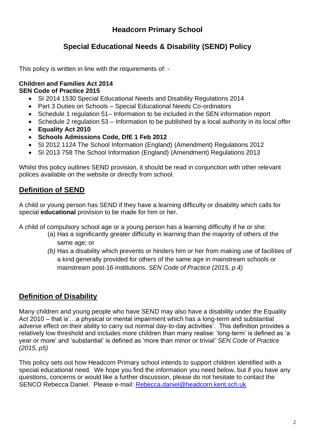# **Headcorn Primary School**

# **Special Educational Needs & Disability (SEND) Policy**

This policy is written in line with the requirements of: -

### **Children and Families Act 2014 SEN Code of Practice 2015**

- SI 2014 1530 Special Educational Needs and Disability Regulations 2014
- Part 3 Duties on Schools Special Educational Needs Co-ordinators
- Schedule 1 regulation 51– Information to be included in the SEN information report
- Schedule 2 regulation 53 Information to be published by a local authority in its local offer
- **Equality Act 2010**
- **Schools Admissions Code, DfE 1 Feb 2012**
- SI 2012 1124 The School Information (England) (Amendment) Regulations 2012
- SI 2013 758 The School Information (England) (Amendment) Regulations 2013

Whilst this policy outlines SEND provision, it should be read in conjunction with other relevant polices available on the website or directly from school.

# **Definition of SEND**

A child or young person has SEND if they have a learning difficulty or disability which calls for special **educational** provision to be made for him or her.

A child of compulsory school age or a young person has a learning difficulty if he or she:

- (a) Has a significantly greater difficulty in learning than the majority of others of the same age; or
- *(b)* Has a disability which prevents or hinders him or her from making use of facilities of a kind generally provided for others of the same age in mainstream schools or mainstream post-16 institutions. *SEN Code of Practice (2015, p 4)*

# **Definition of Disability**

Many children and young people who have SEND may also have a disability under the Equality Act 2010 – that is'…a physical or mental impairment which has a long-term and substantial adverse effect on their ability to carry out normal day-to-day activities'. This definition provides a relatively low threshold and includes more children than many realise: 'long-term' is defined as 'a year or more' and 'substantial' is defined as 'more than minor or trivial' *SEN Code of Practice (2015, p5)*

This policy sets out how Headcorn Primary school intends to support children identified with a special educational need. We hope you find the information you need below, but if you have any questions, concerns or would like a further discussion, please do not hesitate to contact the SENCO Rebecca Daniel. Please e-mail: [Rebecca.daniel@headcorn.kent.sch.uk](mailto:Rebecca.daniel@headcorn.kent.sch.uk)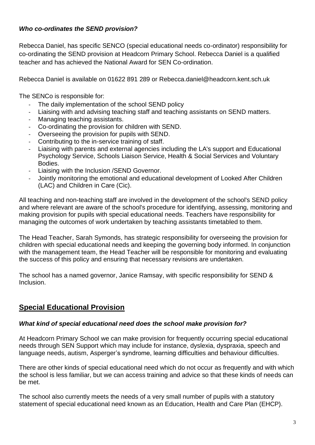# *Who co-ordinates the SEND provision?*

Rebecca Daniel, has specific SENCO (special educational needs co-ordinator) responsibility for co-ordinating the SEND provision at Headcorn Primary School. Rebecca Daniel is a qualified teacher and has achieved the National Award for SEN Co-ordination.

Rebecca Daniel is available on 01622 891 289 or Rebecca.daniel@headcorn.kent.sch.uk

The SENCo is responsible for:

- The daily implementation of the school SEND policy
- Liaising with and advising teaching staff and teaching assistants on SEND matters.
- Managing teaching assistants.
- Co-ordinating the provision for children with SEND.
- Overseeing the provision for pupils with SEND.
- Contributing to the in-service training of staff.
- Liaising with parents and external agencies including the LA's support and Educational Psychology Service, Schools Liaison Service, Health & Social Services and Voluntary Bodies.
- Liaising with the Inclusion /SEND Governor.
- Jointly monitoring the emotional and educational development of Looked After Children (LAC) and Children in Care (Cic).

All teaching and non-teaching staff are involved in the development of the school's SEND policy and where relevant are aware of the school's procedure for identifying, assessing, monitoring and making provision for pupils with special educational needs. Teachers have responsibility for managing the outcomes of work undertaken by teaching assistants timetabled to them.

The Head Teacher, Sarah Symonds, has strategic responsibility for overseeing the provision for children with special educational needs and keeping the governing body informed. In conjunction with the management team, the Head Teacher will be responsible for monitoring and evaluating the success of this policy and ensuring that necessary revisions are undertaken.

The school has a named governor, Janice Ramsay, with specific responsibility for SEND & Inclusion.

# **Special Educational Provision**

## *What kind of special educational need does the school make provision for?*

At Headcorn Primary School we can make provision for frequently occurring special educational needs through SEN Support which may include for instance, dyslexia, dyspraxia, speech and language needs, autism, Asperger's syndrome, learning difficulties and behaviour difficulties.

There are other kinds of special educational need which do not occur as frequently and with which the school is less familiar, but we can access training and advice so that these kinds of needs can be met.

The school also currently meets the needs of a very small number of pupils with a statutory statement of special educational need known as an Education, Health and Care Plan (EHCP).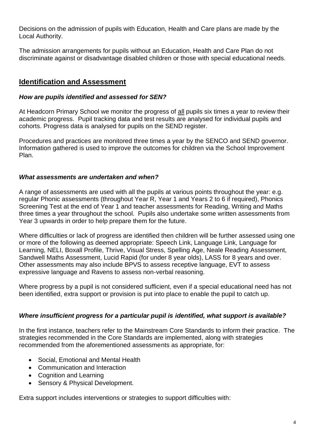Decisions on the admission of pupils with Education, Health and Care plans are made by the Local Authority.

The admission arrangements for pupils without an Education, Health and Care Plan do not discriminate against or disadvantage disabled children or those with special educational needs.

## **Identification and Assessment**

#### *How are pupils identified and assessed for SEN?*

At Headcorn Primary School we monitor the progress of all pupils six times a year to review their academic progress. Pupil tracking data and test results are analysed for individual pupils and cohorts. Progress data is analysed for pupils on the SEND register.

Procedures and practices are monitored three times a year by the SENCO and SEND governor. Information gathered is used to improve the outcomes for children via the School Improvement Plan.

## *What assessments are undertaken and when?*

A range of assessments are used with all the pupils at various points throughout the year: e.g. regular Phonic assessments (throughout Year R, Year 1 and Years 2 to 6 if required), Phonics Screening Test at the end of Year 1 and teacher assessments for Reading, Writing and Maths three times a year throughout the school. Pupils also undertake some written assessments from Year 3 upwards in order to help prepare them for the future.

Where difficulties or lack of progress are identified then children will be further assessed using one or more of the following as deemed appropriate: Speech Link, Language Link, Language for Learning, NELI, Boxall Profile, Thrive, Visual Stress, Spelling Age, Neale Reading Assessment, Sandwell Maths Assessment, Lucid Rapid (for under 8 year olds), LASS for 8 years and over. Other assessments may also include BPVS to assess receptive language, EVT to assess expressive language and Ravens to assess non-verbal reasoning.

Where progress by a pupil is not considered sufficient, even if a special educational need has not been identified, extra support or provision is put into place to enable the pupil to catch up.

#### *Where insufficient progress for a particular pupil is identified, what support is available?*

In the first instance, teachers refer to the Mainstream Core Standards to inform their practice. The strategies recommended in the Core Standards are implemented, along with strategies recommended from the aforementioned assessments as appropriate, for:

- Social, Emotional and Mental Health
- Communication and Interaction
- Cognition and Learning
- Sensory & Physical Development.

Extra support includes interventions or strategies to support difficulties with: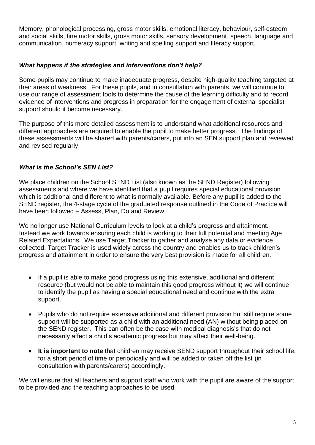Memory, phonological processing, gross motor skills, emotional literacy, behaviour, self-esteem and social skills, fine motor skills, gross motor skills, sensory development, speech, language and communication, numeracy support, writing and spelling support and literacy support.

#### *What happens if the strategies and interventions don't help?*

Some pupils may continue to make inadequate progress, despite high-quality teaching targeted at their areas of weakness. For these pupils, and in consultation with parents, we will continue to use our range of assessment tools to determine the cause of the learning difficulty and to record evidence of interventions and progress in preparation for the engagement of external specialist support should it become necessary.

The purpose of this more detailed assessment is to understand what additional resources and different approaches are required to enable the pupil to make better progress. The findings of these assessments will be shared with parents/carers, put into an SEN support plan and reviewed and revised regularly.

## *What is the School's SEN List?*

We place children on the School SEND List (also known as the SEND Register) following assessments and where we have identified that a pupil requires special educational provision which is additional and different to what is normally available. Before any pupil is added to the SEND register, the 4-stage cycle of the graduated response outlined in the Code of Practice will have been followed – Assess, Plan, Do and Review.

We no longer use National Curriculum levels to look at a child's progress and attainment. Instead we work towards ensuring each child is working to their full potential and meeting Age Related Expectations. We use Target Tracker to gather and analyse any data or evidence collected. Target Tracker is used widely across the country and enables us to track children's progress and attainment in order to ensure the very best provision is made for all children.

- If a pupil is able to make good progress using this extensive, additional and different resource (but would not be able to maintain this good progress without it) we will continue to identify the pupil as having a special educational need and continue with the extra support.
- Pupils who do not require extensive additional and different provision but still require some support will be supported as a child with an additional need (AN) without being placed on the SEND register. This can often be the case with medical diagnosis's that do not necessarily affect a child's academic progress but may affect their well-being.
- **It is important to note** that children may receive SEND support throughout their school life, for a short period of time or periodically and will be added or taken off the list (in consultation with parents/carers) accordingly.

We will ensure that all teachers and support staff who work with the pupil are aware of the support to be provided and the teaching approaches to be used.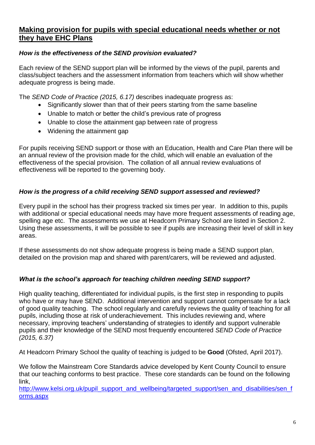# **Making provision for pupils with special educational needs whether or not they have EHC Plans**

## *How is the effectiveness of the SEND provision evaluated?*

Each review of the SEND support plan will be informed by the views of the pupil, parents and class/subject teachers and the assessment information from teachers which will show whether adequate progress is being made.

The *SEND Code of Practice (2015, 6.17)* describes inadequate progress as:

- Significantly slower than that of their peers starting from the same baseline
- Unable to match or better the child's previous rate of progress
- Unable to close the attainment gap between rate of progress
- Widening the attainment gap

For pupils receiving SEND support or those with an Education, Health and Care Plan there will be an annual review of the provision made for the child, which will enable an evaluation of the effectiveness of the special provision. The collation of all annual review evaluations of effectiveness will be reported to the governing body.

## *How is the progress of a child receiving SEND support assessed and reviewed?*

Every pupil in the school has their progress tracked six times per year. In addition to this, pupils with additional or special educational needs may have more frequent assessments of reading age, spelling age etc. The assessments we use at Headcorn Primary School are listed in Section 2. Using these assessments, it will be possible to see if pupils are increasing their level of skill in key areas.

If these assessments do not show adequate progress is being made a SEND support plan, detailed on the provision map and shared with parent/carers, will be reviewed and adjusted.

#### *What is the school's approach for teaching children needing SEND support?*

High quality teaching, differentiated for individual pupils, is the first step in responding to pupils who have or may have SEND. Additional intervention and support cannot compensate for a lack of good quality teaching. The school regularly and carefully reviews the quality of teaching for all pupils, including those at risk of underachievement. This includes reviewing and, where necessary, improving teachers' understanding of strategies to identify and support vulnerable pupils and their knowledge of the SEND most frequently encountered *SEND Code of Practice (2015, 6.37)*

At Headcorn Primary School the quality of teaching is judged to be **Good** (Ofsted, April 2017).

We follow the Mainstream Core Standards advice developed by Kent County Council to ensure that our teaching conforms to best practice. These core standards can be found on the following link,

[http://www.kelsi.org.uk/pupil\\_support\\_and\\_wellbeing/targeted\\_support/sen\\_and\\_disabilities/sen\\_f](http://www.kelsi.org.uk/pupil_support_and_wellbeing/targeted_support/sen_and_disabilities/sen_forms.aspx) [orms.aspx](http://www.kelsi.org.uk/pupil_support_and_wellbeing/targeted_support/sen_and_disabilities/sen_forms.aspx)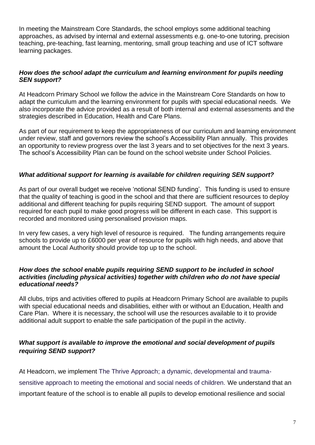In meeting the Mainstream Core Standards, the school employs some additional teaching approaches, as advised by internal and external assessments e.g. one-to-one tutoring, precision teaching, pre-teaching, fast learning, mentoring, small group teaching and use of ICT software learning packages.

#### *How does the school adapt the curriculum and learning environment for pupils needing SEN support?*

At Headcorn Primary School we follow the advice in the Mainstream Core Standards on how to adapt the curriculum and the learning environment for pupils with special educational needs. We also incorporate the advice provided as a result of both internal and external assessments and the strategies described in Education, Health and Care Plans.

As part of our requirement to keep the appropriateness of our curriculum and learning environment under review, staff and governors review the school's Accessibility Plan annually. This provides an opportunity to review progress over the last 3 years and to set objectives for the next 3 years. The school's Accessibility Plan can be found on the school website under School Policies.

#### *What additional support for learning is available for children requiring SEN support?*

As part of our overall budget we receive 'notional SEND funding'. This funding is used to ensure that the quality of teaching is good in the school and that there are sufficient resources to deploy additional and different teaching for pupils requiring SEND support. The amount of support required for each pupil to make good progress will be different in each case. This support is recorded and monitored using personalised provision maps.

In very few cases, a very high level of resource is required. The funding arrangements require schools to provide up to £6000 per year of resource for pupils with high needs, and above that amount the Local Authority should provide top up to the school.

#### *How does the school enable pupils requiring SEND support to be included in school activities (including physical activities) together with children who do not have special educational needs?*

All clubs, trips and activities offered to pupils at Headcorn Primary School are available to pupils with special educational needs and disabilities, either with or without an Education, Health and Care Plan. Where it is necessary, the school will use the resources available to it to provide additional adult support to enable the safe participation of the pupil in the activity.

#### *What support is available to improve the emotional and social development of pupils requiring SEND support?*

At Headcorn, we implement The Thrive Approach; a dynamic, developmental and traumasensitive approach to meeting the emotional and social needs of children. We understand that an important feature of the school is to enable all pupils to develop emotional resilience and social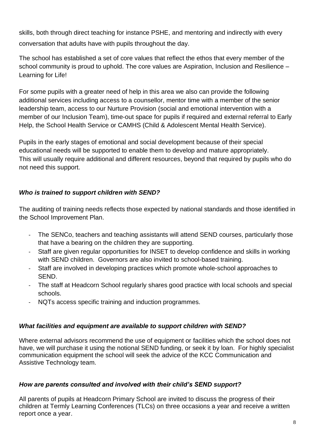skills, both through direct teaching for instance PSHE, and mentoring and indirectly with every conversation that adults have with pupils throughout the day.

The school has established a set of core values that reflect the ethos that every member of the school community is proud to uphold. The core values are Aspiration, Inclusion and Resilience – Learning for Life!

For some pupils with a greater need of help in this area we also can provide the following additional services including access to a counsellor, mentor time with a member of the senior leadership team, access to our Nurture Provision (social and emotional intervention with a member of our Inclusion Team), time-out space for pupils if required and external referral to Early Help, the School Health Service or CAMHS (Child & Adolescent Mental Health Service).

Pupils in the early stages of emotional and social development because of their special educational needs will be supported to enable them to develop and mature appropriately. This will usually require additional and different resources, beyond that required by pupils who do not need this support.

## *Who is trained to support children with SEND?*

The auditing of training needs reflects those expected by national standards and those identified in the School Improvement Plan.

- The SENCo, teachers and teaching assistants will attend SEND courses, particularly those that have a bearing on the children they are supporting.
- Staff are given regular opportunities for INSET to develop confidence and skills in working with SEND children. Governors are also invited to school-based training.
- Staff are involved in developing practices which promote whole-school approaches to SEND.
- The staff at Headcorn School regularly shares good practice with local schools and special schools.
- NQTs access specific training and induction programmes.

## *What facilities and equipment are available to support children with SEND?*

Where external advisors recommend the use of equipment or facilities which the school does not have, we will purchase it using the notional SEND funding, or seek it by loan. For highly specialist communication equipment the school will seek the advice of the KCC Communication and Assistive Technology team.

#### *How are parents consulted and involved with their child's SEND support?*

All parents of pupils at Headcorn Primary School are invited to discuss the progress of their children at Termly Learning Conferences (TLCs) on three occasions a year and receive a written report once a year.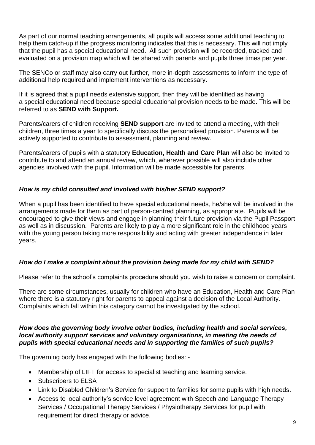As part of our normal teaching arrangements, all pupils will access some additional teaching to help them catch-up if the progress monitoring indicates that this is necessary. This will not imply that the pupil has a special educational need. All such provision will be recorded, tracked and evaluated on a provision map which will be shared with parents and pupils three times per year.

The SENCo or staff may also carry out further, more in-depth assessments to inform the type of additional help required and implement interventions as necessary.

If it is agreed that a pupil needs extensive support, then they will be identified as having a special educational need because special educational provision needs to be made. This will be referred to as **SEND with Support.**

Parents/carers of children receiving **SEND support** are invited to attend a meeting, with their children, three times a year to specifically discuss the personalised provision. Parents will be actively supported to contribute to assessment, planning and review.

Parents/carers of pupils with a statutory **Education, Health and Care Plan** will also be invited to contribute to and attend an annual review, which, wherever possible will also include other agencies involved with the pupil. Information will be made accessible for parents.

#### *How is my child consulted and involved with his/her SEND support?*

When a pupil has been identified to have special educational needs, he/she will be involved in the arrangements made for them as part of person-centred planning, as appropriate. Pupils will be encouraged to give their views and engage in planning their future provision via the Pupil Passport as well as in discussion. Parents are likely to play a more significant role in the childhood years with the young person taking more responsibility and acting with greater independence in later years.

#### *How do I make a complaint about the provision being made for my child with SEND?*

Please refer to the school's complaints procedure should you wish to raise a concern or complaint.

There are some circumstances, usually for children who have an Education, Health and Care Plan where there is a statutory right for parents to appeal against a decision of the Local Authority. Complaints which fall within this category cannot be investigated by the school.

#### *How does the governing body involve other bodies, including health and social services, local authority support services and voluntary organisations, in meeting the needs of pupils with special educational needs and in supporting the families of such pupils?*

The governing body has engaged with the following bodies: -

- Membership of LIFT for access to specialist teaching and learning service.
- Subscribers to ELSA
- Link to Disabled Children's Service for support to families for some pupils with high needs.
- Access to local authority's service level agreement with Speech and Language Therapy Services / Occupational Therapy Services / Physiotherapy Services for pupil with requirement for direct therapy or advice.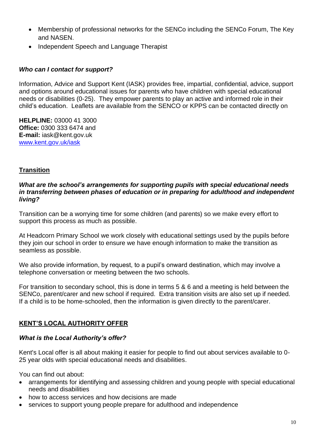- Membership of professional networks for the SENCo including the SENCo Forum, The Key and NASEN.
- Independent Speech and Language Therapist

### *Who can I contact for support?*

Information, Advice and Support Kent (IASK) provides free, impartial, confidential, advice, support and options around educational issues for parents who have children with special educational needs or disabilities (0-25). They empower parents to play an active and informed role in their child's education. Leaflets are available from the SENCO or KPPS can be contacted directly on

**HELPLINE:** 03000 41 3000 **Office:** 0300 333 6474 and **E-mail:** iask@kent.gov.uk [www.kent.gov.uk/iask](http://www.kent.gov.uk/iask)

#### **Transition**

#### *What are the school's arrangements for supporting pupils with special educational needs in transferring between phases of education or in preparing for adulthood and independent living?*

Transition can be a worrying time for some children (and parents) so we make every effort to support this process as much as possible.

At Headcorn Primary School we work closely with educational settings used by the pupils before they join our school in order to ensure we have enough information to make the transition as seamless as possible.

We also provide information, by request, to a pupil's onward destination, which may involve a telephone conversation or meeting between the two schools.

For transition to secondary school, this is done in terms 5 & 6 and a meeting is held between the SENCo, parent/carer and new school if required. Extra transition visits are also set up if needed. If a child is to be home-schooled, then the information is given directly to the parent/carer.

## **KENT'S LOCAL AUTHORITY OFFER**

#### *What is the Local Authority's offer?*

Kent's Local offer is all about making it easier for people to find out about services available to 0- 25 year olds with [special educational needs and disabilities.](http://www.kent.gov.uk/education-and-children/special-educational-needs)

You can find out about:

- arrangements for [identifying and assessing children and young people](http://www.kent.gov.uk/education-and-children/special-educational-needs/assessments-and-statements-of-special-educational-needs) with special educational needs and disabilities
- how to access services and how decisions are made
- services to support young people prepare for [adulthood and independence](http://www.kent.gov.uk/education-and-children/special-educational-needs/becoming-an-adult)